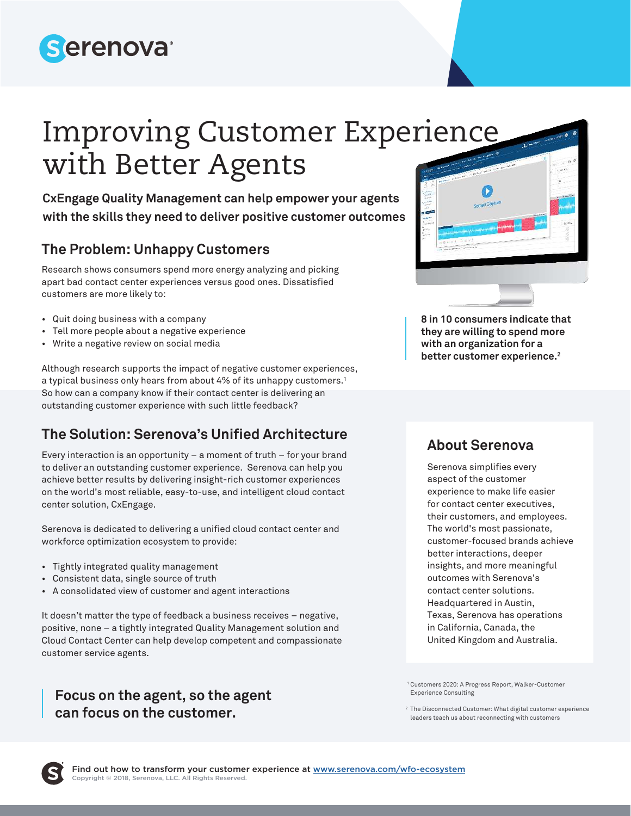

# Improving Customer Experience with Better Agents

**CxEngage Quality Management can help empower your agents with the skills they need to deliver positive customer outcomes**

#### **The Problem: Unhappy Customers**

Research shows consumers spend more energy analyzing and picking apart bad contact center experiences versus good ones. Dissatisfied customers are more likely to:

- Quit doing business with a company
- Tell more people about a negative experience
- Write a negative review on social media

Although research supports the impact of negative customer experiences, a typical business only hears from about 4% of its unhappy customers.<sup>1</sup> So how can a company know if their contact center is delivering an outstanding customer experience with such little feedback?

### **The Solution: Serenova's Unified Architecture**

Every interaction is an opportunity – a moment of truth − for your brand to deliver an outstanding customer experience. Serenova can help you achieve better results by delivering insight-rich customer experiences on the world's most reliable, easy-to-use, and intelligent cloud contact center solution, CxEngage.

Serenova is dedicated to delivering a unified cloud contact center and workforce optimization ecosystem to provide:

- Tightly integrated quality management
- Consistent data, single source of truth
- A consolidated view of customer and agent interactions

It doesn't matter the type of feedback a business receives – negative, positive, none – a tightly integrated Quality Management solution and Cloud Contact Center can help develop competent and compassionate customer service agents.

#### **Focus on the agent, so the agent can focus on the customer.**



**8 in 10 consumers indicate that they are willing to spend more with an organization for a better customer experience.<sup>2</sup>**

#### **About Serenova**

Serenova simplifies every aspect of the customer experience to make life easier for contact center executives, their customers, and employees. The world's most passionate, customer-focused brands achieve better interactions, deeper insights, and more meaningful outcomes with Serenova's contact center solutions. Headquartered in Austin, Texas, Serenova has operations in California, Canada, the United Kingdom and Australia.

1 Customers 2020: A Progress Report, Walker-Customer Experience Consulting

<sup>2</sup> The Disconnected Customer: What digital customer experience leaders teach us about reconnecting with customers